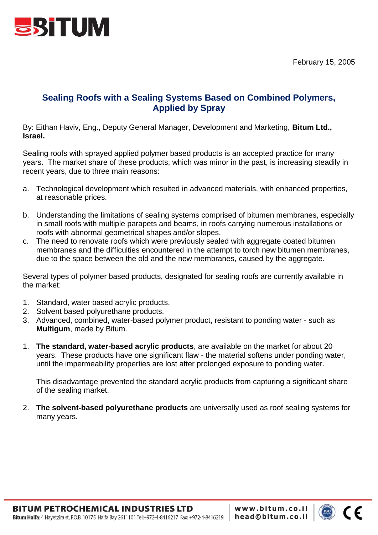

## **Sealing Roofs with a Sealing Systems Based on Combined Polymers, Applied by Spray**

By: Eithan Haviv, Eng., Deputy General Manager, Development and Marketing, **Bitum Ltd., Israel.**

Sealing roofs with sprayed applied polymer based products is an accepted practice for many years. The market share of these products, which was minor in the past, is increasing steadily in recent years, due to three main reasons:

- a. Technological development which resulted in advanced materials, with enhanced properties, at reasonable prices.
- b. Understanding the limitations of sealing systems comprised of bitumen membranes, especially in small roofs with multiple parapets and beams, in roofs carrying numerous installations or roofs with abnormal geometrical shapes and/or slopes.
- c. The need to renovate roofs which were previously sealed with aggregate coated bitumen membranes and the difficulties encountered in the attempt to torch new bitumen membranes, due to the space between the old and the new membranes, caused by the aggregate.

Several types of polymer based products, designated for sealing roofs are currently available in the market:

- 1. Standard, water based acrylic products.
- 2. Solvent based polyurethane products.
- 3. Advanced, combined, water-based polymer product, resistant to ponding water such as **Multigum**, made by Bitum.
- 1. **The standard, water-based acrylic products**, are available on the market for about 20 years. These products have one significant flaw - the material softens under ponding water, until the impermeability properties are lost after prolonged exposure to ponding water.

This disadvantage prevented the standard acrylic products from capturing a significant share of the sealing market.

2. **The solvent-based polyurethane products** are universally used as roof sealing systems for many years.

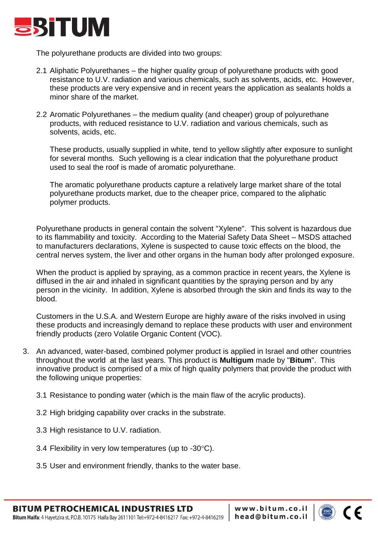

The polyurethane products are divided into two groups:

- 2.1 Aliphatic Polyurethanes the higher quality group of polyurethane products with good resistance to U.V. radiation and various chemicals, such as solvents, acids, etc. However, these products are very expensive and in recent years the application as sealants holds a minor share of the market.
- 2.2 Aromatic Polyurethanes the medium quality (and cheaper) group of polyurethane products, with reduced resistance to U.V. radiation and various chemicals, such as solvents, acids, etc.

These products, usually supplied in white, tend to yellow slightly after exposure to sunlight for several months. Such yellowing is a clear indication that the polyurethane product used to seal the roof is made of aromatic polyurethane.

The aromatic polyurethane products capture a relatively large market share of the total polyurethane products market, due to the cheaper price, compared to the aliphatic polymer products.

Polyurethane products in general contain the solvent "Xylene". This solvent is hazardous due to its flammability and toxicity. According to the Material Safety Data Sheet – MSDS attached to manufacturers declarations, Xylene is suspected to cause toxic effects on the blood, the central nerves system, the liver and other organs in the human body after prolonged exposure.

When the product is applied by spraying, as a common practice in recent years, the Xylene is diffused in the air and inhaled in significant quantities by the spraying person and by any person in the vicinity. In addition, Xylene is absorbed through the skin and finds its way to the blood.

Customers in the U.S.A. and Western Europe are highly aware of the risks involved in using these products and increasingly demand to replace these products with user and environment friendly products (zero Volatile Organic Content (VOC).

- 3. An advanced, water-based, combined polymer product is applied in Israel and other countries throughout the world at the last years. This product is **Multigum** made by "**Bitum**". This innovative product is comprised of a mix of high quality polymers that provide the product with the following unique properties:
	- 3.1 Resistance to ponding water (which is the main flaw of the acrylic products).
	- 3.2 High bridging capability over cracks in the substrate.
	- 3.3 High resistance to U.V. radiation.
	- 3.4 Flexibility in very low temperatures (up to  $-30^{\circ}$ C).
	- 3.5 User and environment friendly, thanks to the water base.

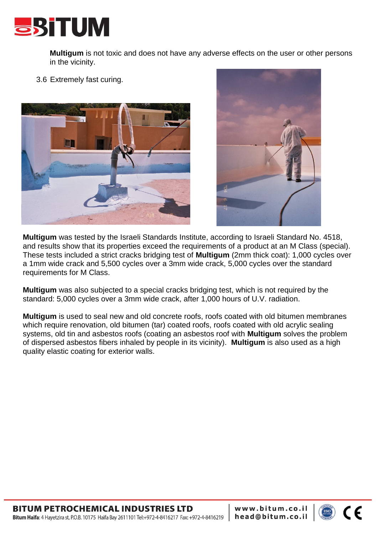

**Multigum** is not toxic and does not have any adverse effects on the user or other persons in the vicinity.

3.6 Extremely fast curing.





**Multigum** was tested by the Israeli Standards Institute, according to Israeli Standard No. 4518, and results show that its properties exceed the requirements of a product at an M Class (special). These tests included a strict cracks bridging test of **Multigum** (2mm thick coat): 1,000 cycles over a 1mm wide crack and 5,500 cycles over a 3mm wide crack, 5,000 cycles over the standard requirements for M Class.

**Multigum** was also subjected to a special cracks bridging test, which is not required by the standard: 5,000 cycles over a 3mm wide crack, after 1,000 hours of U.V. radiation.

**Multigum** is used to seal new and old concrete roofs, roofs coated with old bitumen membranes which require renovation, old bitumen (tar) coated roofs, roofs coated with old acrylic sealing systems, old tin and asbestos roofs (coating an asbestos roof with **Multigum** solves the problem of dispersed asbestos fibers inhaled by people in its vicinity). **Multigum** is also used as a high quality elastic coating for exterior walls.

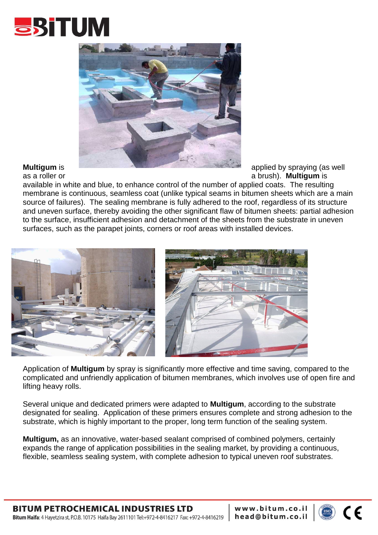



as a roller or a brush). **Multigum** is

available in white and blue, to enhance control of the number of applied coats. The resulting membrane is continuous, seamless coat (unlike typical seams in bitumen sheets which are a main source of failures). The sealing membrane is fully adhered to the roof, regardless of its structure and uneven surface, thereby avoiding the other significant flaw of bitumen sheets: partial adhesion to the surface, insufficient adhesion and detachment of the sheets from the substrate in uneven surfaces, such as the parapet joints, corners or roof areas with installed devices.



Application of **Multigum** by spray is significantly more effective and time saving, compared to the complicated and unfriendly application of bitumen membranes, which involves use of open fire and lifting heavy rolls.

Several unique and dedicated primers were adapted to **Multigum**, according to the substrate designated for sealing. Application of these primers ensures complete and strong adhesion to the substrate, which is highly important to the proper, long term function of the sealing system.

**Multigum,** as an innovative, water-based sealant comprised of combined polymers, certainly expands the range of application possibilities in the sealing market, by providing a continuous, flexible, seamless sealing system, with complete adhesion to typical uneven roof substrates.